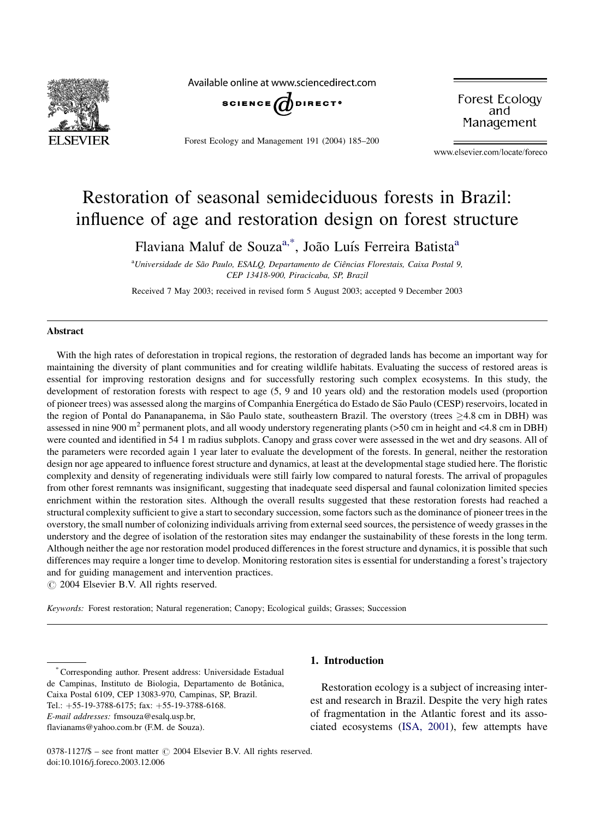

Available online at www.sciencedirect.com



Forest Ecology and Management 191 (2004) 185–200

Forest Ecology and Management

www.elsevier.com/locate/foreco

# Restoration of seasonal semideciduous forests in Brazil: influence of age and restoration design on forest structure

Flaviana Maluf de Souza<sup>a,\*</sup>, João Luís Ferreira Batista<sup>a</sup>

<sup>a</sup>Universidade de São Paulo, ESALQ, Departamento de Ciências Florestais, Caixa Postal 9, CEP 13418-900, Piracicaba, SP, Brazil

Received 7 May 2003; received in revised form 5 August 2003; accepted 9 December 2003

#### Abstract

With the high rates of deforestation in tropical regions, the restoration of degraded lands has become an important way for maintaining the diversity of plant communities and for creating wildlife habitats. Evaluating the success of restored areas is essential for improving restoration designs and for successfully restoring such complex ecosystems. In this study, the development of restoration forests with respect to age (5, 9 and 10 years old) and the restoration models used (proportion of pioneer trees) was assessed along the margins of Companhia Energética do Estado de São Paulo (CESP) reservoirs, located in the region of Pontal do Pananapanema, in São Paulo state, southeastern Brazil. The overstory (trees  $\geq$ 4.8 cm in DBH) was assessed in nine 900 m<sup>2</sup> permanent plots, and all woody understory regenerating plants ( $>50$  cm in height and  $<4.8$  cm in DBH) were counted and identified in 54 1 m radius subplots. Canopy and grass cover were assessed in the wet and dry seasons. All of the parameters were recorded again 1 year later to evaluate the development of the forests. In general, neither the restoration design nor age appeared to influence forest structure and dynamics, at least at the developmental stage studied here. The floristic complexity and density of regenerating individuals were still fairly low compared to natural forests. The arrival of propagules from other forest remnants was insignificant, suggesting that inadequate seed dispersal and faunal colonization limited species enrichment within the restoration sites. Although the overall results suggested that these restoration forests had reached a structural complexity sufficient to give a start to secondary succession, some factors such as the dominance of pioneer trees in the overstory, the small number of colonizing individuals arriving from external seed sources, the persistence of weedy grasses in the understory and the degree of isolation of the restoration sites may endanger the sustainability of these forests in the long term. Although neither the age nor restoration model produced differences in the forest structure and dynamics, it is possible that such differences may require a longer time to develop. Monitoring restoration sites is essential for understanding a forest's trajectory and for guiding management and intervention practices.

 $\odot$  2004 Elsevier B.V. All rights reserved.

Keywords: Forest restoration; Natural regeneration; Canopy; Ecological guilds; Grasses; Succession

# 1. Introduction

Restoration ecology is a subject of increasing interest and research in Brazil. Despite the very high rates of fragmentation in the Atlantic forest and its associated ecosystems ([ISA, 2001](#page-14-0)), few attempts have

<sup>\*</sup>Corresponding author. Present address: Universidade Estadual de Campinas, Instituto de Biologia, Departamento de Botânica, Caixa Postal 6109, CEP 13083-970, Campinas, SP, Brazil. Tel.:  $+55-19-3788-6175$ ; fax:  $+55-19-3788-6168$ . E-mail addresses: fmsouza@esalq.usp.br, flavianams@yahoo.com.br (F.M. de Souza).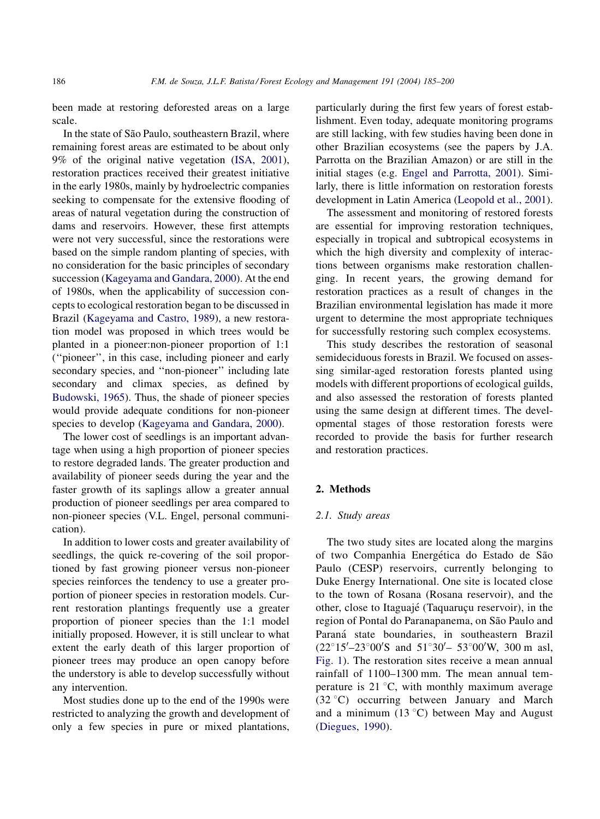been made at restoring deforested areas on a large scale.

In the state of São Paulo, southeastern Brazil, where remaining forest areas are estimated to be about only 9% of the original native vegetation [\(ISA, 2001\)](#page-14-0), restoration practices received their greatest initiative in the early 1980s, mainly by hydroelectric companies seeking to compensate for the extensive flooding of areas of natural vegetation during the construction of dams and reservoirs. However, these first attempts were not very successful, since the restorations were based on the simple random planting of species, with no consideration for the basic principles of secondary succession [\(Kageyama and Gandara, 2000](#page-14-0)). At the end of 1980s, when the applicability of succession concepts to ecological restoration began to be discussed in Brazil ([Kageyama and Castro, 1989\)](#page-14-0), a new restoration model was proposed in which trees would be planted in a pioneer:non-pioneer proportion of 1:1 (''pioneer'', in this case, including pioneer and early secondary species, and ''non-pioneer'' including late secondary and climax species, as defined by [Budowski, 1965](#page-14-0)). Thus, the shade of pioneer species would provide adequate conditions for non-pioneer species to develop ([Kageyama and Gandara, 2000](#page-14-0)).

The lower cost of seedlings is an important advantage when using a high proportion of pioneer species to restore degraded lands. The greater production and availability of pioneer seeds during the year and the faster growth of its saplings allow a greater annual production of pioneer seedlings per area compared to non-pioneer species (V.L. Engel, personal communication).

In addition to lower costs and greater availability of seedlings, the quick re-covering of the soil proportioned by fast growing pioneer versus non-pioneer species reinforces the tendency to use a greater proportion of pioneer species in restoration models. Current restoration plantings frequently use a greater proportion of pioneer species than the 1:1 model initially proposed. However, it is still unclear to what extent the early death of this larger proportion of pioneer trees may produce an open canopy before the understory is able to develop successfully without any intervention.

Most studies done up to the end of the 1990s were restricted to analyzing the growth and development of only a few species in pure or mixed plantations,

particularly during the first few years of forest establishment. Even today, adequate monitoring programs are still lacking, with few studies having been done in other Brazilian ecosystems (see the papers by J.A. Parrotta on the Brazilian Amazon) or are still in the initial stages (e.g. [Engel and Parrotta, 2001](#page-14-0)). Similarly, there is little information on restoration forests development in Latin America [\(Leopold et al., 2001\)](#page-14-0).

The assessment and monitoring of restored forests are essential for improving restoration techniques, especially in tropical and subtropical ecosystems in which the high diversity and complexity of interactions between organisms make restoration challenging. In recent years, the growing demand for restoration practices as a result of changes in the Brazilian environmental legislation has made it more urgent to determine the most appropriate techniques for successfully restoring such complex ecosystems.

This study describes the restoration of seasonal semideciduous forests in Brazil. We focused on assessing similar-aged restoration forests planted using models with different proportions of ecological guilds, and also assessed the restoration of forests planted using the same design at different times. The developmental stages of those restoration forests were recorded to provide the basis for further research and restoration practices.

## 2. Methods

#### 2.1. Study areas

The two study sites are located along the margins of two Companhia Energética do Estado de São Paulo (CESP) reservoirs, currently belonging to Duke Energy International. One site is located close to the town of Rosana (Rosana reservoir), and the other, close to Itaguajé (Taquarucu reservoir), in the region of Pontal do Paranapanema, on São Paulo and Paraná state boundaries, in southeastern Brazil  $(22^{\circ}15' - 23^{\circ}00'$ S and  $51^{\circ}30' - 53^{\circ}00'$ W, 300 m asl, [Fig. 1](#page-2-0)). The restoration sites receive a mean annual rainfall of 1100–1300 mm. The mean annual temperature is  $21 \degree C$ , with monthly maximum average  $(32 \degree C)$  occurring between January and March and a minimum  $(13 \degree C)$  between May and August ([Diegues, 1990](#page-14-0)).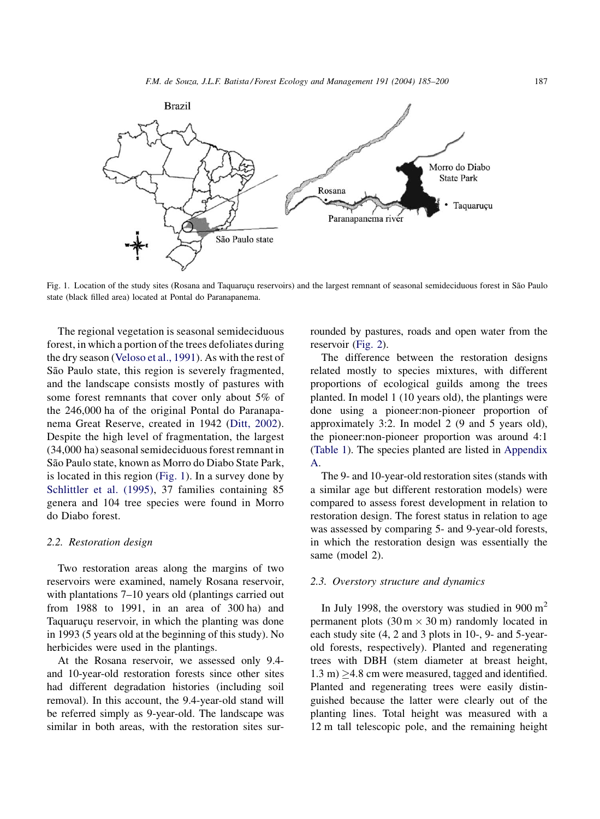<span id="page-2-0"></span>

Fig. 1. Location of the study sites (Rosana and Taquarucu reservoirs) and the largest remnant of seasonal semideciduous forest in São Paulo state (black filled area) located at Pontal do Paranapanema.

The regional vegetation is seasonal semideciduous forest, in which a portion of the trees defoliates during the dry season [\(Veloso et al., 1991\)](#page-15-0). As with the rest of São Paulo state, this region is severely fragmented, and the landscape consists mostly of pastures with some forest remnants that cover only about 5% of the 246,000 ha of the original Pontal do Paranapanema Great Reserve, created in 1942 ([Ditt, 2002\)](#page-14-0). Despite the high level of fragmentation, the largest (34,000 ha) seasonal semideciduous forest remnant in São Paulo state, known as Morro do Diabo State Park, is located in this region (Fig. 1). In a survey done by [Schlittler et al. \(1995\)](#page-15-0), 37 families containing 85 genera and 104 tree species were found in Morro do Diabo forest.

## 2.2. Restoration design

Two restoration areas along the margins of two reservoirs were examined, namely Rosana reservoir, with plantations 7–10 years old (plantings carried out from 1988 to 1991, in an area of 300 ha) and Taquaruçu reservoir, in which the planting was done in 1993 (5 years old at the beginning of this study). No herbicides were used in the plantings.

At the Rosana reservoir, we assessed only 9.4 and 10-year-old restoration forests since other sites had different degradation histories (including soil removal). In this account, the 9.4-year-old stand will be referred simply as 9-year-old. The landscape was similar in both areas, with the restoration sites surrounded by pastures, roads and open water from the reservoir [\(Fig. 2\)](#page-3-0).

The difference between the restoration designs related mostly to species mixtures, with different proportions of ecological guilds among the trees planted. In model 1 (10 years old), the plantings were done using a pioneer:non-pioneer proportion of approximately 3:2. In model 2 (9 and 5 years old), the pioneer:non-pioneer proportion was around 4:1 ([Table 1](#page-4-0)). The species planted are listed in [Appendix](#page-9-0) [A.](#page-9-0)

The 9- and 10-year-old restoration sites (stands with a similar age but different restoration models) were compared to assess forest development in relation to restoration design. The forest status in relation to age was assessed by comparing 5- and 9-year-old forests, in which the restoration design was essentially the same (model 2).

#### 2.3. Overstory structure and dynamics

In July 1998, the overstory was studied in 900  $m<sup>2</sup>$ permanent plots  $(30 \text{ m} \times 30 \text{ m})$  randomly located in each study site (4, 2 and 3 plots in 10-, 9- and 5-yearold forests, respectively). Planted and regenerating trees with DBH (stem diameter at breast height,  $1.3 \text{ m}$ )  $\geq$ 4.8 cm were measured, tagged and identified. Planted and regenerating trees were easily distinguished because the latter were clearly out of the planting lines. Total height was measured with a 12 m tall telescopic pole, and the remaining height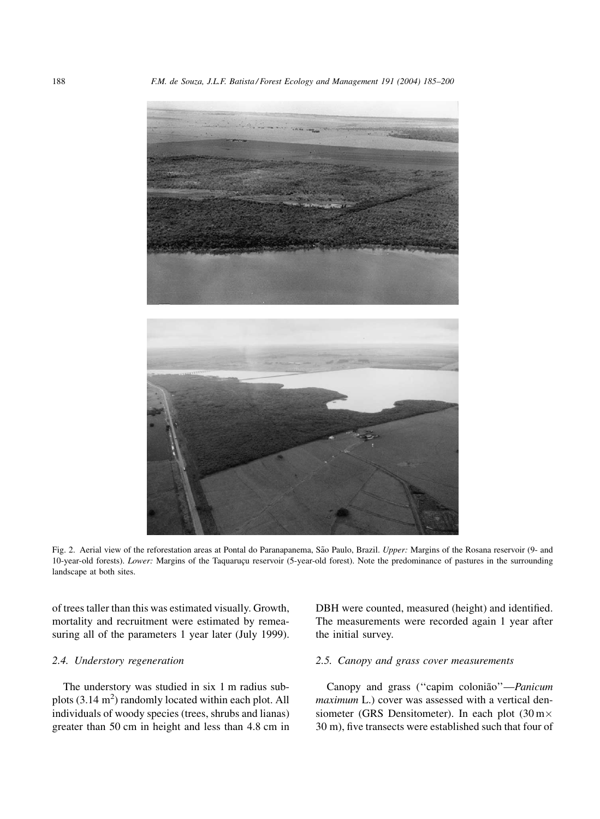<span id="page-3-0"></span>

Fig. 2. Aerial view of the reforestation areas at Pontal do Paranapanema, São Paulo, Brazil. Upper: Margins of the Rosana reservoir (9- and 10-year-old forests). Lower: Margins of the Taquaruçu reservoir (5-year-old forest). Note the predominance of pastures in the surrounding landscape at both sites.

of trees taller than this was estimated visually. Growth, mortality and recruitment were estimated by remeasuring all of the parameters 1 year later (July 1999).

#### 2.4. Understory regeneration

The understory was studied in six 1 m radius subplots  $(3.14 \text{ m}^2)$  randomly located within each plot. All individuals of woody species (trees, shrubs and lianas) greater than 50 cm in height and less than 4.8 cm in

DBH were counted, measured (height) and identified. The measurements were recorded again 1 year after the initial survey.

# 2.5. Canopy and grass cover measurements

Canopy and grass ("capim colonião"-Panicum maximum L.) cover was assessed with a vertical densiometer (GRS Densitometer). In each plot  $(30 \text{ m} \times$ 30 m), five transects were established such that four of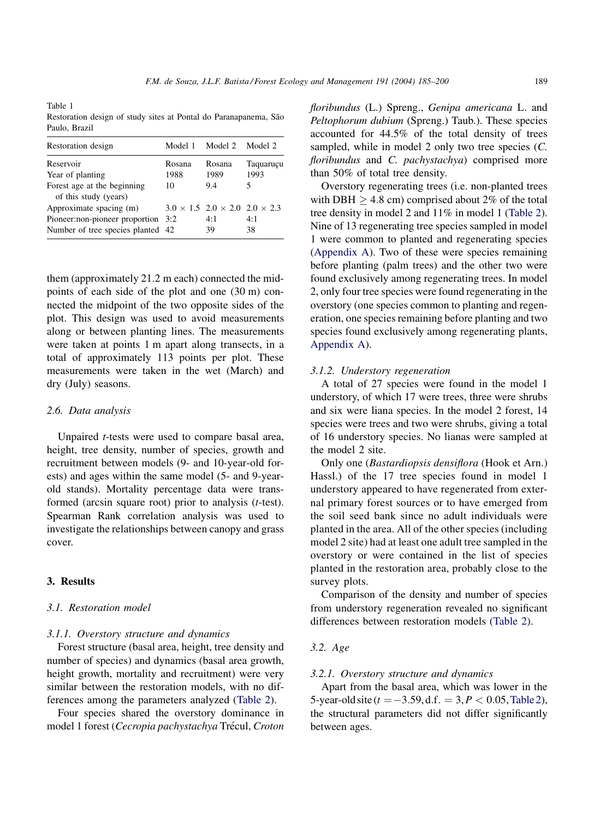<span id="page-4-0"></span>Table 1 Restoration design of study sites at Pontal do Paranapanema, São Paulo, Brazil

| Restoration design                                   |        | Model 1 Model 2 Model 2                            |           |
|------------------------------------------------------|--------|----------------------------------------------------|-----------|
| Reservoir                                            | Rosana | Rosana                                             | Taquarucu |
| Year of planting                                     | 1988   | 1989                                               | 1993      |
| Forest age at the beginning<br>of this study (years) | 10     | 94                                                 |           |
| Approximate spacing (m)                              |        | $3.0 \times 1.5$ $2.0 \times 2.0$ $2.0 \times 2.3$ |           |
| Pioneer:non-pioneer proportion 3:2                   |        | 4:1                                                | 4:1       |
| Number of tree species planted 42                    |        | 39                                                 | 38        |

them (approximately 21.2 m each) connected the midpoints of each side of the plot and one (30 m) connected the midpoint of the two opposite sides of the plot. This design was used to avoid measurements along or between planting lines. The measurements were taken at points 1 m apart along transects, in a total of approximately 113 points per plot. These measurements were taken in the wet (March) and dry (July) seasons.

#### 2.6. Data analysis

Unpaired t-tests were used to compare basal area, height, tree density, number of species, growth and recruitment between models (9- and 10-year-old forests) and ages within the same model (5- and 9-yearold stands). Mortality percentage data were transformed (arcsin square root) prior to analysis (t-test). Spearman Rank correlation analysis was used to investigate the relationships between canopy and grass cover.

#### 3. Results

#### 3.1. Restoration model

#### 3.1.1. Overstory structure and dynamics

Forest structure (basal area, height, tree density and number of species) and dynamics (basal area growth, height growth, mortality and recruitment) were very similar between the restoration models, with no differences among the parameters analyzed ([Table 2](#page-5-0)).

Four species shared the overstory dominance in model 1 forest (Cecropia pachystachya Trécul, Croton

floribundus (L.) Spreng., Genipa americana L. and Peltophorum dubium (Spreng.) Taub.). These species accounted for 44.5% of the total density of trees sampled, while in model 2 only two tree species (C. floribundus and C. pachystachya) comprised more than 50% of total tree density.

Overstory regenerating trees (i.e. non-planted trees with DBH  $>$  4.8 cm) comprised about 2% of the total tree density in model 2 and 11% in model 1 [\(Table 2](#page-5-0)). Nine of 13 regenerating tree species sampled in model 1 were common to planted and regenerating species ([Appendix A\)](#page-9-0). Two of these were species remaining before planting (palm trees) and the other two were found exclusively among regenerating trees. In model 2, only four tree species were found regenerating in the overstory (one species common to planting and regeneration, one species remaining before planting and two species found exclusively among regenerating plants, [Appendix A\)](#page-9-0).

#### 3.1.2. Understory regeneration

A total of 27 species were found in the model 1 understory, of which 17 were trees, three were shrubs and six were liana species. In the model 2 forest, 14 species were trees and two were shrubs, giving a total of 16 understory species. No lianas were sampled at the model 2 site.

Only one (Bastardiopsis densiflora (Hook et Arn.) Hassl.) of the 17 tree species found in model 1 understory appeared to have regenerated from external primary forest sources or to have emerged from the soil seed bank since no adult individuals were planted in the area. All of the other species (including model 2 site) had at least one adult tree sampled in the overstory or were contained in the list of species planted in the restoration area, probably close to the survey plots.

Comparison of the density and number of species from understory regeneration revealed no significant differences between restoration models ([Table 2](#page-5-0)).

# 3.2. Age

#### 3.2.1. Overstory structure and dynamics

Apart from the basal area, which was lower in the 5-year-old site ( $t = -3.59$ , d.f.  $= 3, P < 0.05$ , [Table 2](#page-5-0)), the structural parameters did not differ significantly between ages.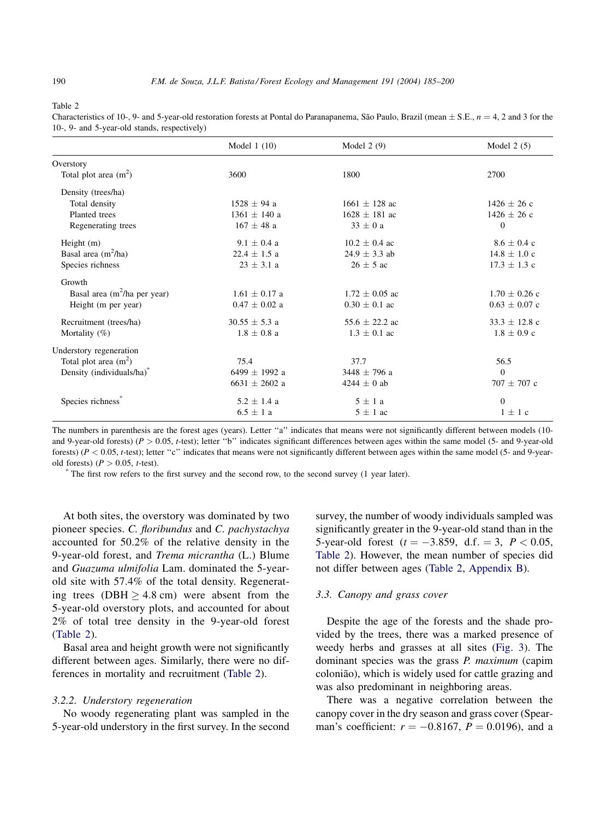<span id="page-5-0"></span>Table 2

|                                       | Model $1(10)$     | Model $2(9)$      | Model $2(5)$      |
|---------------------------------------|-------------------|-------------------|-------------------|
| Overstory                             |                   |                   |                   |
| Total plot area $(m2)$                | 3600              | 1800              | 2700              |
| Density (trees/ha)                    |                   |                   |                   |
| Total density                         | $1528 + 94$ a     | $1661 + 128$ ac   | $1426 + 26c$      |
| Planted trees                         | $1361 + 140a$     | $1628 + 181$ ac   | $1426 \pm 26$ c   |
| Regenerating trees                    | $167 \pm 48$ a    | $33 \pm 0$ a      | $\Omega$          |
| Height $(m)$                          | $9.1 \pm 0.4$ a   | $10.2 + 0.4$ ac   | $8.6 \pm 0.4$ c   |
| Basal area $(m^2/ha)$                 | $22.4 \pm 1.5$ a  | $24.9 \pm 3.3$ ab | $14.8 \pm 1.0$ c  |
| Species richness                      | $23 \pm 3.1$ a    | $26 \pm 5$ ac     | $17.3 \pm 1.3$ c  |
| Growth                                |                   |                   |                   |
| Basal area $(m^2/ha$ per year)        | $1.61 + 0.17$ a   | $1.72 + 0.05$ ac  | $1.70 + 0.26$ c   |
| Height (m per year)                   | $0.47 + 0.02 a$   | $0.30 \pm 0.1$ ac | $0.63 \pm 0.07$ c |
| Recruitment (trees/ha)                | $30.55 + 5.3$ a   | $55.6 + 22.2$ ac  | $33.3 + 12.8$ c   |
| Mortality $(\%)$                      | $1.8 \pm 0.8$ a   | $1.3 + 0.1$ ac    | $1.8 \pm 0.9$ c   |
| Understory regeneration               |                   |                   |                   |
| Total plot area $(m2)$                | 75.4              | 37.7              | 56.5              |
| Density (individuals/ha) <sup>®</sup> | 6499 $\pm$ 1992 a | $3448 \pm 796$ a  | $\Omega$          |
|                                       | $6631 \pm 2602$ a | 4244 $\pm$ 0 ab   | $707 \pm 707$ c   |
| Species richness <sup>®</sup>         | $5.2 \pm 1.4$ a   | $5 \pm 1$ a       | $\Omega$          |
|                                       | $6.5 \pm 1$ a     | $5 \pm 1$ ac      | $1 \pm 1$ c       |

Characteristics of 10-, 9- and 5-year-old restoration forests at Pontal do Paranapanema, São Paulo, Brazil (mean  $\pm$  S.E.,  $n = 4$ , 2 and 3 for the 10-, 9- and 5-year-old stands, respectively)

The numbers in parenthesis are the forest ages (years). Letter "a" indicates that means were not significantly different between models (10and 9-year-old forests) ( $P > 0.05$ , t-test); letter "b" indicates significant differences between ages within the same model (5- and 9-year-old forests) ( $P < 0.05$ , t-test); letter "c" indicates that means were not significantly different between ages within the same model (5- and 9-yearold forests) ( $P > 0.05$ , t-test).<br>
<sup>\*</sup> The first row refers to the first survey and the second row, to the second survey (1 year later).

At both sites, the overstory was dominated by two pioneer species. C. floribundus and C. pachystachya accounted for 50.2% of the relative density in the 9-year-old forest, and Trema micrantha (L.) Blume and Guazuma ulmifolia Lam. dominated the 5-yearold site with 57.4% of the total density. Regenerating trees (DBH  $> 4.8$  cm) were absent from the 5-year-old overstory plots, and accounted for about 2% of total tree density in the 9-year-old forest (Table 2).

Basal area and height growth were not significantly different between ages. Similarly, there were no differences in mortality and recruitment (Table 2).

#### 3.2.2. Understory regeneration

No woody regenerating plant was sampled in the 5-year-old understory in the first survey. In the second survey, the number of woody individuals sampled was significantly greater in the 9-year-old stand than in the 5-year-old forest  $(t = -3.859, d.f. = 3, P < 0.05,$ Table 2). However, the mean number of species did not differ between ages (Table 2, [Appendix B\)](#page-12-0).

#### 3.3. Canopy and grass cover

Despite the age of the forests and the shade provided by the trees, there was a marked presence of weedy herbs and grasses at all sites ([Fig. 3](#page-6-0)). The dominant species was the grass P. maximum (capim colonião), which is widely used for cattle grazing and was also predominant in neighboring areas.

There was a negative correlation between the canopy cover in the dry season and grass cover (Spearman's coefficient:  $r = -0.8167$ ,  $P = 0.0196$ ), and a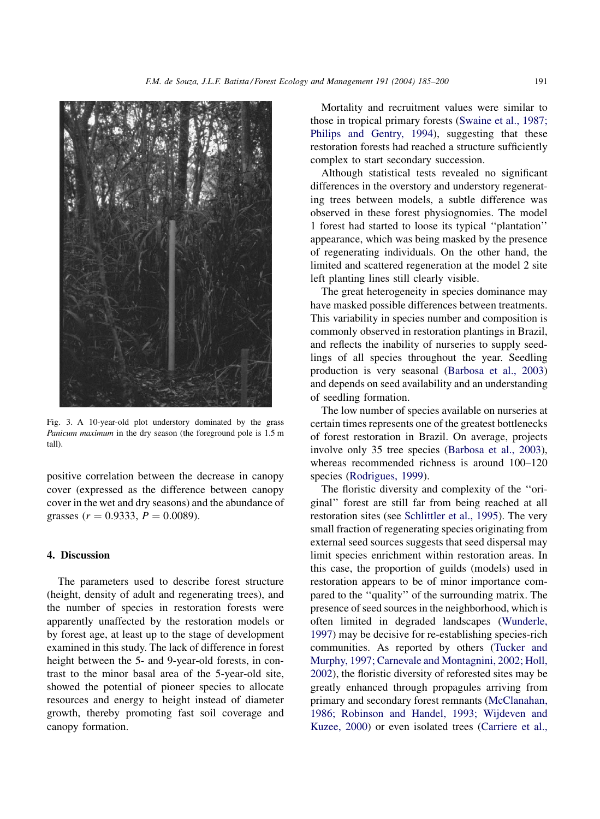<span id="page-6-0"></span>

Fig. 3. A 10-year-old plot understory dominated by the grass Panicum maximum in the dry season (the foreground pole is 1.5 m tall).

positive correlation between the decrease in canopy cover (expressed as the difference between canopy cover in the wet and dry seasons) and the abundance of grasses ( $r = 0.9333$ ,  $P = 0.0089$ ).

#### 4. Discussion

The parameters used to describe forest structure (height, density of adult and regenerating trees), and the number of species in restoration forests were apparently unaffected by the restoration models or by forest age, at least up to the stage of development examined in this study. The lack of difference in forest height between the 5- and 9-year-old forests, in contrast to the minor basal area of the 5-year-old site, showed the potential of pioneer species to allocate resources and energy to height instead of diameter growth, thereby promoting fast soil coverage and canopy formation.

Mortality and recruitment values were similar to those in tropical primary forests ([Swaine et al., 1987;](#page-15-0) [Philips and Gentry, 1994\)](#page-15-0), suggesting that these restoration forests had reached a structure sufficiently complex to start secondary succession.

Although statistical tests revealed no significant differences in the overstory and understory regenerating trees between models, a subtle difference was observed in these forest physiognomies. The model 1 forest had started to loose its typical ''plantation'' appearance, which was being masked by the presence of regenerating individuals. On the other hand, the limited and scattered regeneration at the model 2 site left planting lines still clearly visible.

The great heterogeneity in species dominance may have masked possible differences between treatments. This variability in species number and composition is commonly observed in restoration plantings in Brazil, and reflects the inability of nurseries to supply seedlings of all species throughout the year. Seedling production is very seasonal [\(Barbosa et al., 2003\)](#page-13-0) and depends on seed availability and an understanding of seedling formation.

The low number of species available on nurseries at certain times represents one of the greatest bottlenecks of forest restoration in Brazil. On average, projects involve only 35 tree species ([Barbosa et al., 2003](#page-13-0)), whereas recommended richness is around 100–120 species [\(Rodrigues, 1999](#page-15-0)).

The floristic diversity and complexity of the ''original'' forest are still far from being reached at all restoration sites (see [Schlittler et al., 1995](#page-15-0)). The very small fraction of regenerating species originating from external seed sources suggests that seed dispersal may limit species enrichment within restoration areas. In this case, the proportion of guilds (models) used in restoration appears to be of minor importance compared to the ''quality'' of the surrounding matrix. The presence of seed sources in the neighborhood, which is often limited in degraded landscapes [\(Wunderle,](#page-15-0) [1997\)](#page-15-0) may be decisive for re-establishing species-rich communities. As reported by others [\(Tucker and](#page-15-0) [Murphy, 1997; Carnevale and Montagnini, 2002; Holl,](#page-15-0) [2002\)](#page-15-0), the floristic diversity of reforested sites may be greatly enhanced through propagules arriving from primary and secondary forest remnants [\(McClanahan,](#page-14-0) [1986; Robinson and Handel, 1993; Wijdeven and](#page-14-0) [Kuzee, 2000](#page-14-0)) or even isolated trees ([Carriere et al.,](#page-14-0)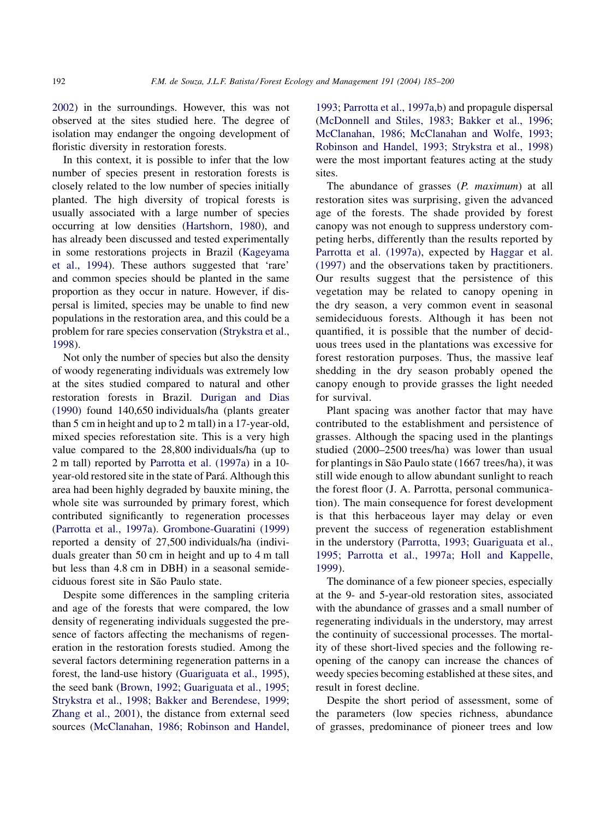[2002](#page-14-0)) in the surroundings. However, this was not observed at the sites studied here. The degree of isolation may endanger the ongoing development of floristic diversity in restoration forests.

In this context, it is possible to infer that the low number of species present in restoration forests is closely related to the low number of species initially planted. The high diversity of tropical forests is usually associated with a large number of species occurring at low densities ([Hartshorn, 1980\)](#page-14-0), and has already been discussed and tested experimentally in some restorations projects in Brazil ([Kageyama](#page-14-0) [et al., 1994](#page-14-0)). These authors suggested that 'rare' and common species should be planted in the same proportion as they occur in nature. However, if dispersal is limited, species may be unable to find new populations in the restoration area, and this could be a problem for rare species conservation ([Strykstra et al.,](#page-15-0) [1998](#page-15-0)).

Not only the number of species but also the density of woody regenerating individuals was extremely low at the sites studied compared to natural and other restoration forests in Brazil. [Durigan and Dias](#page-14-0) [\(1990\)](#page-14-0) found 140,650 individuals/ha (plants greater than 5 cm in height and up to 2 m tall) in a 17-year-old, mixed species reforestation site. This is a very high value compared to the 28,800 individuals/ha (up to 2 m tall) reported by [Parrotta et al. \(1997a\)](#page-15-0) in a 10 year-old restored site in the state of Para´. Although this area had been highly degraded by bauxite mining, the whole site was surrounded by primary forest, which contributed significantly to regeneration processes ([Parrotta et al., 1997a](#page-15-0)). [Grombone-Guaratini \(1999\)](#page-14-0) reported a density of 27,500 individuals/ha (individuals greater than 50 cm in height and up to 4 m tall but less than 4.8 cm in DBH) in a seasonal semideciduous forest site in São Paulo state.

Despite some differences in the sampling criteria and age of the forests that were compared, the low density of regenerating individuals suggested the presence of factors affecting the mechanisms of regeneration in the restoration forests studied. Among the several factors determining regeneration patterns in a forest, the land-use history ([Guariguata et al., 1995\)](#page-14-0), the seed bank ([Brown, 1992; Guariguata et al., 1995;](#page-14-0) [Strykstra et al., 1998; Bakker and Berendese, 1999;](#page-14-0) [Zhang et al., 2001\)](#page-14-0), the distance from external seed sources ([McClanahan, 1986; Robinson and Handel,](#page-14-0)

[1993](#page-14-0); [Parrotta et al., 1997a,b](#page-15-0)) and propagule dispersal ([McDonnell and Stiles, 1983; Bakker et al., 1996;](#page-14-0) [McClanahan, 1986; McClanahan and Wolfe, 1993;](#page-14-0) [Robinson and Handel, 1993; Strykstra et al., 1998](#page-14-0)) were the most important features acting at the study sites.

The abundance of grasses (P. maximum) at all restoration sites was surprising, given the advanced age of the forests. The shade provided by forest canopy was not enough to suppress understory competing herbs, differently than the results reported by [Parrotta et al. \(1997a\)](#page-15-0), expected by [Haggar et al.](#page-14-0) [\(1997\)](#page-14-0) and the observations taken by practitioners. Our results suggest that the persistence of this vegetation may be related to canopy opening in the dry season, a very common event in seasonal semideciduous forests. Although it has been not quantified, it is possible that the number of deciduous trees used in the plantations was excessive for forest restoration purposes. Thus, the massive leaf shedding in the dry season probably opened the canopy enough to provide grasses the light needed for survival.

Plant spacing was another factor that may have contributed to the establishment and persistence of grasses. Although the spacing used in the plantings studied (2000–2500 trees/ha) was lower than usual for plantings in São Paulo state (1667 trees/ha), it was still wide enough to allow abundant sunlight to reach the forest floor (J. A. Parrotta, personal communication). The main consequence for forest development is that this herbaceous layer may delay or even prevent the success of regeneration establishment in the understory [\(Parrotta, 1993; Guariguata et al.,](#page-14-0) [1995; Parrotta et al., 1997a; Holl and Kappelle,](#page-14-0) [1999\)](#page-14-0).

The dominance of a few pioneer species, especially at the 9- and 5-year-old restoration sites, associated with the abundance of grasses and a small number of regenerating individuals in the understory, may arrest the continuity of successional processes. The mortality of these short-lived species and the following reopening of the canopy can increase the chances of weedy species becoming established at these sites, and result in forest decline.

Despite the short period of assessment, some of the parameters (low species richness, abundance of grasses, predominance of pioneer trees and low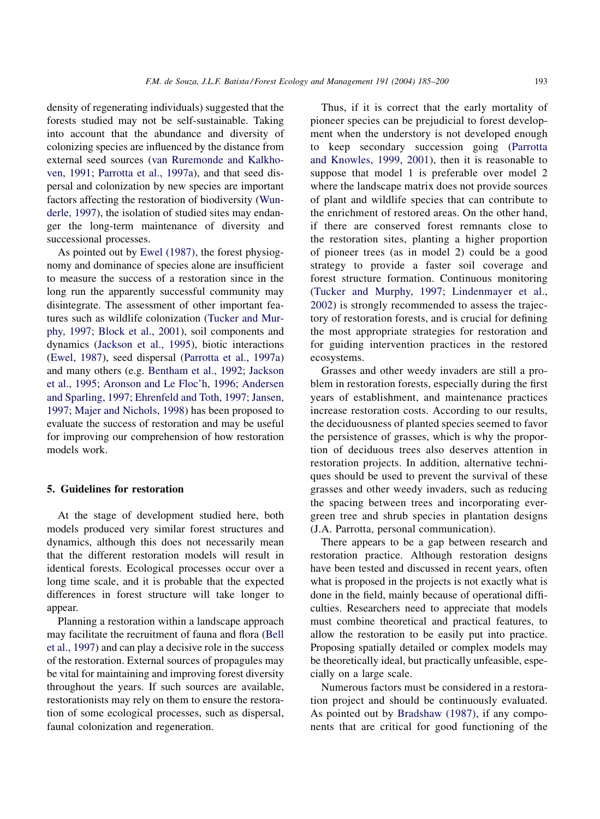density of regenerating individuals) suggested that the forests studied may not be self-sustainable. Taking into account that the abundance and diversity of colonizing species are influenced by the distance from external seed sources ([van Ruremonde and Kalkho](#page-15-0)[ven, 1991; Parrotta et al., 1997a](#page-15-0)), and that seed dispersal and colonization by new species are important factors affecting the restoration of biodiversity [\(Wun](#page-15-0)[derle, 1997\)](#page-15-0), the isolation of studied sites may endanger the long-term maintenance of diversity and successional processes.

As pointed out by [Ewel \(1987\)](#page-14-0), the forest physiognomy and dominance of species alone are insufficient to measure the success of a restoration since in the long run the apparently successful community may disintegrate. The assessment of other important features such as wildlife colonization ([Tucker and Mur](#page-15-0)[phy, 1997; Block et al., 2001\)](#page-15-0), soil components and dynamics ([Jackson et al., 1995](#page-14-0)), biotic interactions ([Ewel, 1987\)](#page-14-0), seed dispersal [\(Parrotta et al., 1997a](#page-15-0)) and many others (e.g. [Bentham et al., 1992; Jackson](#page-14-0) [et al., 1995; Aronson and Le Floc'h, 1996; Andersen](#page-14-0) [and Sparling, 1997; Ehrenfeld and Toth, 1997; Jansen,](#page-14-0) [1997; Majer and Nichols, 1998](#page-14-0)) has been proposed to evaluate the success of restoration and may be useful for improving our comprehension of how restoration models work.

# 5. Guidelines for restoration

At the stage of development studied here, both models produced very similar forest structures and dynamics, although this does not necessarily mean that the different restoration models will result in identical forests. Ecological processes occur over a long time scale, and it is probable that the expected differences in forest structure will take longer to appear.

Planning a restoration within a landscape approach may facilitate the recruitment of fauna and flora ([Bell](#page-14-0) [et al., 1997](#page-14-0)) and can play a decisive role in the success of the restoration. External sources of propagules may be vital for maintaining and improving forest diversity throughout the years. If such sources are available, restorationists may rely on them to ensure the restoration of some ecological processes, such as dispersal, faunal colonization and regeneration.

Thus, if it is correct that the early mortality of pioneer species can be prejudicial to forest development when the understory is not developed enough to keep secondary succession going [\(Parrotta](#page-15-0) [and Knowles, 1999, 2001\)](#page-15-0), then it is reasonable to suppose that model 1 is preferable over model 2 where the landscape matrix does not provide sources of plant and wildlife species that can contribute to the enrichment of restored areas. On the other hand, if there are conserved forest remnants close to the restoration sites, planting a higher proportion of pioneer trees (as in model 2) could be a good strategy to provide a faster soil coverage and forest structure formation. Continuous monitoring ([Tucker and Murphy, 1997; Lindenmayer et al.,](#page-15-0) [2002](#page-15-0)) is strongly recommended to assess the trajectory of restoration forests, and is crucial for defining the most appropriate strategies for restoration and for guiding intervention practices in the restored ecosystems.

Grasses and other weedy invaders are still a problem in restoration forests, especially during the first years of establishment, and maintenance practices increase restoration costs. According to our results, the deciduousness of planted species seemed to favor the persistence of grasses, which is why the proportion of deciduous trees also deserves attention in restoration projects. In addition, alternative techniques should be used to prevent the survival of these grasses and other weedy invaders, such as reducing the spacing between trees and incorporating evergreen tree and shrub species in plantation designs (J.A. Parrotta, personal communication).

There appears to be a gap between research and restoration practice. Although restoration designs have been tested and discussed in recent years, often what is proposed in the projects is not exactly what is done in the field, mainly because of operational difficulties. Researchers need to appreciate that models must combine theoretical and practical features, to allow the restoration to be easily put into practice. Proposing spatially detailed or complex models may be theoretically ideal, but practically unfeasible, especially on a large scale.

Numerous factors must be considered in a restoration project and should be continuously evaluated. As pointed out by [Bradshaw \(1987\),](#page-14-0) if any components that are critical for good functioning of the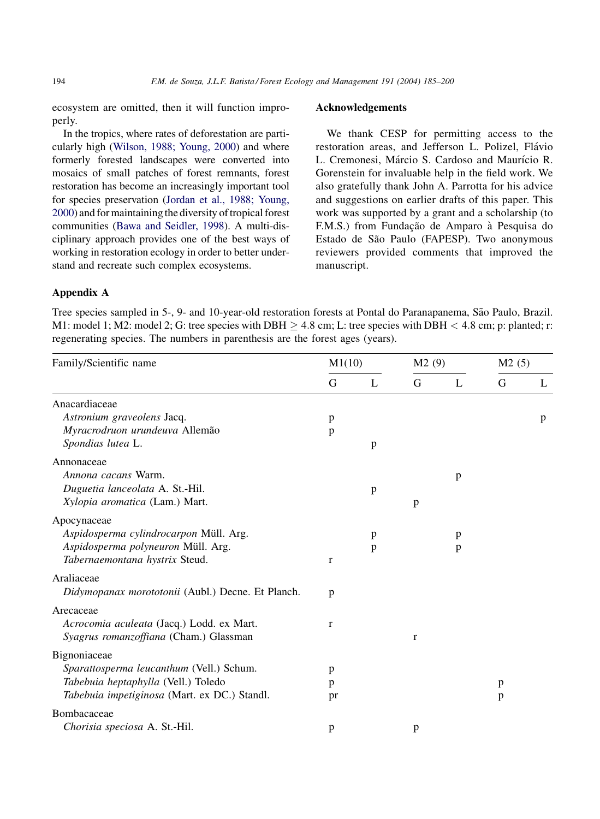<span id="page-9-0"></span>ecosystem are omitted, then it will function improperly.

In the tropics, where rates of deforestation are particularly high ([Wilson, 1988; Young, 2000](#page-15-0)) and where formerly forested landscapes were converted into mosaics of small patches of forest remnants, forest restoration has become an increasingly important tool for species preservation ([Jordan et al., 1988; Young,](#page-14-0) [2000](#page-14-0)) and for maintaining the diversity of tropical forest communities ([Bawa and Seidler, 1998](#page-14-0)). A multi-disciplinary approach provides one of the best ways of working in restoration ecology in order to better understand and recreate such complex ecosystems.

# Acknowledgements

We thank CESP for permitting access to the restoration areas, and Jefferson L. Polizel, Flávio L. Cremonesi, Márcio S. Cardoso and Maurício R. Gorenstein for invaluable help in the field work. We also gratefully thank John A. Parrotta for his advice and suggestions on earlier drafts of this paper. This work was supported by a grant and a scholarship (to F.M.S.) from Fundação de Amparo à Pesquisa do Estado de São Paulo (FAPESP). Two anonymous reviewers provided comments that improved the manuscript.

### Appendix A

Tree species sampled in 5-, 9- and 10-year-old restoration forests at Pontal do Paranapanema, São Paulo, Brazil. M1: model 1; M2: model 2; G: tree species with DBH  $\geq$  4.8 cm; L: tree species with DBH  $\lt$  4.8 cm; p: planted; r: regenerating species. The numbers in parenthesis are the forest ages (years).

| Family/Scientific name                            | M1(10) |   | M2(9)       |   | M2(5) |   |
|---------------------------------------------------|--------|---|-------------|---|-------|---|
|                                                   | G      | L | G           | L | G     | L |
| Anacardiaceae                                     |        |   |             |   |       |   |
| Astronium graveolens Jacq.                        | p      |   |             |   |       | p |
| Myracrodruon urundeuva Allemão                    | p      |   |             |   |       |   |
| Spondias lutea L.                                 |        | p |             |   |       |   |
| Annonaceae                                        |        |   |             |   |       |   |
| Annona cacans Warm.                               |        |   |             | p |       |   |
| Duguetia lanceolata A. St.-Hil.                   |        | p |             |   |       |   |
| Xylopia aromatica (Lam.) Mart.                    |        |   | p           |   |       |   |
| Apocynaceae                                       |        |   |             |   |       |   |
| Aspidosperma cylindrocarpon Müll. Arg.            |        | p |             | p |       |   |
| Aspidosperma polyneuron Müll. Arg.                |        | p |             | p |       |   |
| Tabernaemontana hystrix Steud.                    | r      |   |             |   |       |   |
| Araliaceae                                        |        |   |             |   |       |   |
| Didymopanax morototonii (Aubl.) Decne. Et Planch. | p      |   |             |   |       |   |
| Arecaceae                                         |        |   |             |   |       |   |
| Acrocomia aculeata (Jacq.) Lodd. ex Mart.         | r      |   |             |   |       |   |
| Syagrus romanzoffiana (Cham.) Glassman            |        |   | $\mathbf r$ |   |       |   |
| Bignoniaceae                                      |        |   |             |   |       |   |
| Sparattosperma leucanthum (Vell.) Schum.          | p      |   |             |   |       |   |
| Tabebuia heptaphylla (Vell.) Toledo               | p      |   |             |   | p     |   |
| Tabebuia impetiginosa (Mart. ex DC.) Standl.      | pr     |   |             |   | p     |   |
| Bombacaceae                                       |        |   |             |   |       |   |
| Chorisia speciosa A. St.-Hil.                     | p      |   | p           |   |       |   |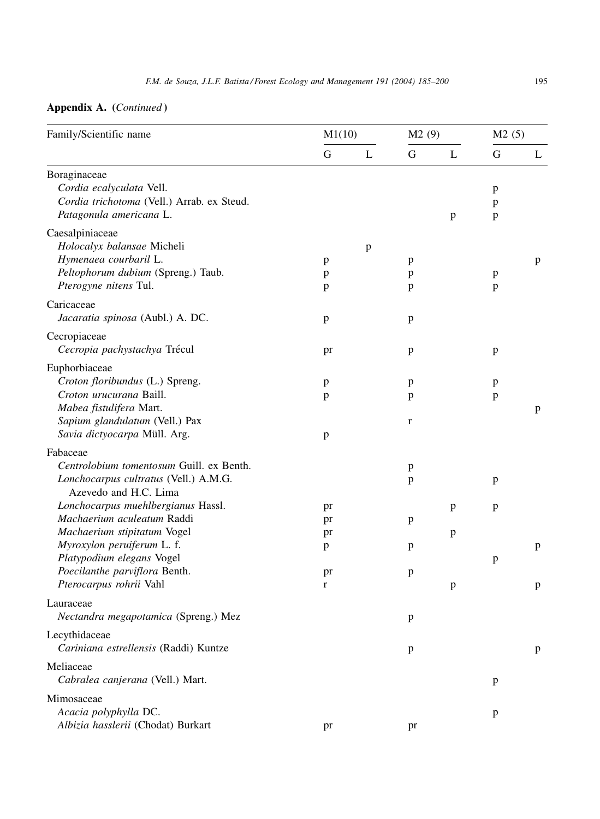# Appendix A. (Continued)

| Family/Scientific name                                                                                                                                                                      | M1(10)                    |   | M2(9)                             |             | M2(5)             |              |
|---------------------------------------------------------------------------------------------------------------------------------------------------------------------------------------------|---------------------------|---|-----------------------------------|-------------|-------------------|--------------|
|                                                                                                                                                                                             | G                         | L | G                                 | $\mathbf L$ | G                 | L            |
| Boraginaceae<br>Cordia ecalyculata Vell.<br>Cordia trichotoma (Vell.) Arrab. ex Steud.<br>Patagonula americana L.                                                                           |                           |   |                                   | p           | p<br>p<br>p       |              |
| Caesalpiniaceae<br>Holocalyx balansae Micheli<br>Hymenaea courbaril L.<br>Peltophorum dubium (Spreng.) Taub.<br>Pterogyne nitens Tul.                                                       | p<br>p<br>p               | p | p<br>p<br>p                       |             | p<br>p            | $\mathbf{p}$ |
| Caricaceae<br>Jacaratia spinosa (Aubl.) A. DC.                                                                                                                                              | $\mathbf{p}$              |   | $\, {\bf p}$                      |             |                   |              |
| Cecropiaceae<br>Cecropia pachystachya Trécul                                                                                                                                                | pr                        |   | p                                 |             | p                 |              |
| Euphorbiaceae<br>Croton floribundus (L.) Spreng.<br>Croton urucurana Baill.<br>Mabea fistulifera Mart.<br>Sapium glandulatum (Vell.) Pax<br>Savia dictyocarpa Müll. Arg.                    | p<br>$\mathbf{p}$<br>p    |   | p<br>p<br>$\mathbf r$             |             | p<br>$\, {\bf p}$ | p            |
| Fabaceae<br>Centrolobium tomentosum Guill. ex Benth.<br>Lonchocarpus cultratus (Vell.) A.M.G.<br>Azevedo and H.C. Lima                                                                      |                           |   | p<br>p                            |             | p                 |              |
| Lonchocarpus muehlbergianus Hassl.<br>Machaerium aculeatum Raddi<br>Machaerium stipitatum Vogel<br>Myroxylon peruiferum L. f.<br>Platypodium elegans Vogel<br>Poecilanthe parviflora Benth. | pr<br>pr<br>pr<br>p<br>pr |   | $\, {\bf p}$<br>p<br>$\mathbf{p}$ | p<br>p      | p<br>$\mathbf p$  | $\mathbf{p}$ |
| Pterocarpus rohrii Vahl<br>Lauraceae                                                                                                                                                        | r                         |   |                                   | p           |                   | p            |
| Nectandra megapotamica (Spreng.) Mez<br>Lecythidaceae<br>Cariniana estrellensis (Raddi) Kuntze                                                                                              |                           |   | P<br>$\mathbf{p}$                 |             |                   | $\mathbf{p}$ |
| Meliaceae<br>Cabralea canjerana (Vell.) Mart.                                                                                                                                               |                           |   |                                   |             | p                 |              |
| Mimosaceae<br>Acacia polyphylla DC.<br>Albizia hasslerii (Chodat) Burkart                                                                                                                   | pr                        |   | pr                                |             | $\, {\bf p}$      |              |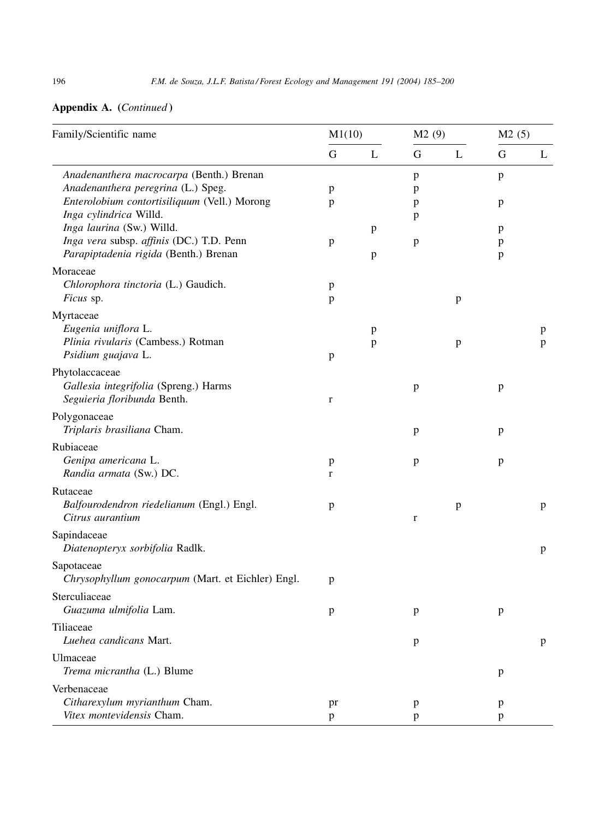# Appendix A. (Continued)

| Family/Scientific name                                                                                                         | M1(10)      |              | M2(9)        |              | M2(5)       |        |
|--------------------------------------------------------------------------------------------------------------------------------|-------------|--------------|--------------|--------------|-------------|--------|
|                                                                                                                                | $\mathbf G$ | $\mathbf{L}$ | $\mathbf G$  | L            | $\mathbf G$ | L      |
| Anadenanthera macrocarpa (Benth.) Brenan<br>Anadenanthera peregrina (L.) Speg.<br>Enterolobium contortisiliquum (Vell.) Morong | p<br>p      |              | p<br>p<br>p  |              | p<br>p      |        |
| Inga cylindrica Willd.<br>Inga laurina (Sw.) Willd.<br>Inga vera subsp. affinis (DC.) T.D. Penn                                |             | p            | p            |              | p           |        |
| Parapiptadenia rigida (Benth.) Brenan                                                                                          | p           | p            | $\mathbf{p}$ |              | p<br>p      |        |
| Moraceae                                                                                                                       |             |              |              |              |             |        |
| Chlorophora tinctoria (L.) Gaudich.<br>Ficus sp.                                                                               | p<br>p      |              |              | $\mathbf{p}$ |             |        |
| Myrtaceae<br>Eugenia uniflora L.<br>Plinia rivularis (Cambess.) Rotman<br>Psidium guajava L.                                   | p           | p<br>p       |              | p            |             | p<br>p |
| Phytolaccaceae<br>Gallesia integrifolia (Spreng.) Harms<br>Seguieria floribunda Benth.                                         | $\mathbf r$ |              | $\, {\bf p}$ |              | p           |        |
| Polygonaceae<br>Triplaris brasiliana Cham.                                                                                     |             |              | p            |              | p           |        |
| Rubiaceae<br>Genipa americana L.<br>Randia armata (Sw.) DC.                                                                    | p<br>r      |              | $\mathbf{p}$ |              | p           |        |
| Rutaceae<br>Balfourodendron riedelianum (Engl.) Engl.<br>Citrus aurantium                                                      | p           |              | $\mathbf r$  | p            |             | p      |
| Sapindaceae<br>Diatenopteryx sorbifolia Radlk.                                                                                 |             |              |              |              |             | p      |
| Sapotaceae<br>Chrysophyllum gonocarpum (Mart. et Eichler) Engl.                                                                | p           |              |              |              |             |        |
| Sterculiaceae<br>Guazuma ulmifolia Lam.                                                                                        | p           |              | p            |              | p           |        |
| Tiliaceae<br>Luehea candicans Mart.                                                                                            |             |              | p            |              |             | p      |
| Ulmaceae<br>Trema micrantha (L.) Blume                                                                                         |             |              |              |              | p           |        |
| Verbenaceae<br>Citharexylum myrianthum Cham.<br>Vitex montevidensis Cham.                                                      | pr<br>p     |              | p<br>p       |              | p<br>p      |        |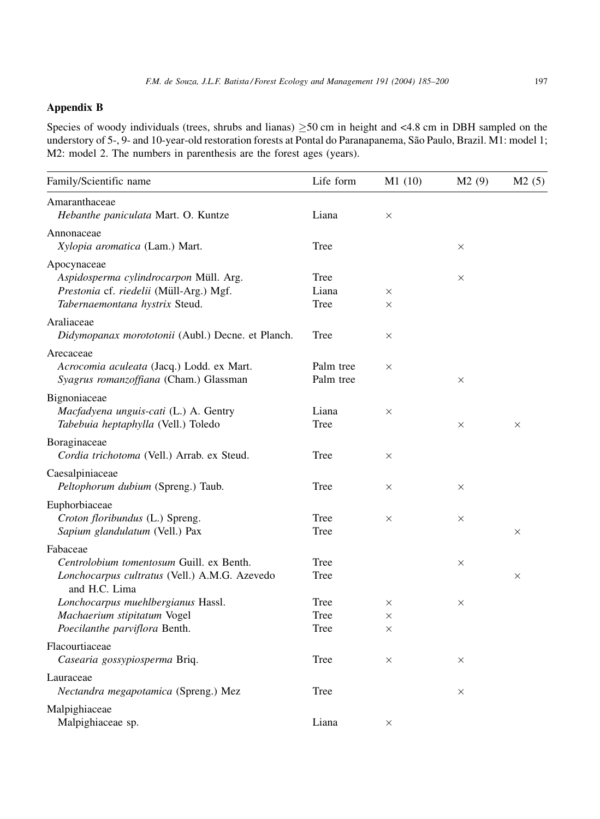# <span id="page-12-0"></span>Appendix B

Species of woody individuals (trees, shrubs and lianas)  $\geq$  50 cm in height and <4.8 cm in DBH sampled on the understory of 5-, 9- and 10-year-old restoration forests at Pontal do Paranapanema, São Paulo, Brazil. M1: model 1; M2: model 2. The numbers in parenthesis are the forest ages (years).

| Family/Scientific name                                                                                                             | Life form              | M1(10)                           | M2 (9)   | M2(5)    |
|------------------------------------------------------------------------------------------------------------------------------------|------------------------|----------------------------------|----------|----------|
| Amaranthaceae<br>Hebanthe paniculata Mart. O. Kuntze                                                                               | Liana                  | $\times$                         |          |          |
| Annonaceae<br>Xylopia aromatica (Lam.) Mart.                                                                                       | Tree                   |                                  | $\times$ |          |
| Apocynaceae<br>Aspidosperma cylindrocarpon Müll. Arg.<br>Prestonia cf. riedelii (Müll-Arg.) Mgf.<br>Tabernaemontana hystrix Steud. | Tree<br>Liana<br>Tree  | $\times$<br>$\times$             | $\times$ |          |
| Araliaceae<br>Didymopanax morototonii (Aubl.) Decne. et Planch.                                                                    | Tree                   | $\times$                         |          |          |
| Arecaceae<br>Acrocomia aculeata (Jacq.) Lodd. ex Mart.<br>Syagrus romanzoffiana (Cham.) Glassman                                   | Palm tree<br>Palm tree | $\times$                         | $\times$ |          |
| Bignoniaceae<br>Macfadyena unguis-cati (L.) A. Gentry<br>Tabebuia heptaphylla (Vell.) Toledo                                       | Liana<br>Tree          | $\times$                         | $\times$ | $\times$ |
| Boraginaceae<br>Cordia trichotoma (Vell.) Arrab. ex Steud.                                                                         | Tree                   | $\times$                         |          |          |
| Caesalpiniaceae<br>Peltophorum dubium (Spreng.) Taub.                                                                              | Tree                   | $\times$                         | $\times$ |          |
| Euphorbiaceae<br>Croton floribundus (L.) Spreng.<br>Sapium glandulatum (Vell.) Pax                                                 | Tree<br>Tree           | $\times$                         | $\times$ | $\times$ |
| Fabaceae<br>Centrolobium tomentosum Guill. ex Benth.<br>Lonchocarpus cultratus (Vell.) A.M.G. Azevedo<br>and H.C. Lima             | Tree<br>Tree           |                                  | $\times$ | $\times$ |
| Lonchocarpus muehlbergianus Hassl.<br>Machaerium stipitatum Vogel<br>Poecilanthe parviflora Benth.                                 | Tree<br>Tree<br>Tree   | $\times$<br>$\times$<br>$\times$ | $\times$ |          |
| Flacourtiaceae<br>Casearia gossypiosperma Briq.                                                                                    | Tree                   | $\times$                         | $\times$ |          |
| Lauraceae<br>Nectandra megapotamica (Spreng.) Mez                                                                                  | Tree                   |                                  | $\times$ |          |
| Malpighiaceae<br>Malpighiaceae sp.                                                                                                 | Liana                  | $\times$                         |          |          |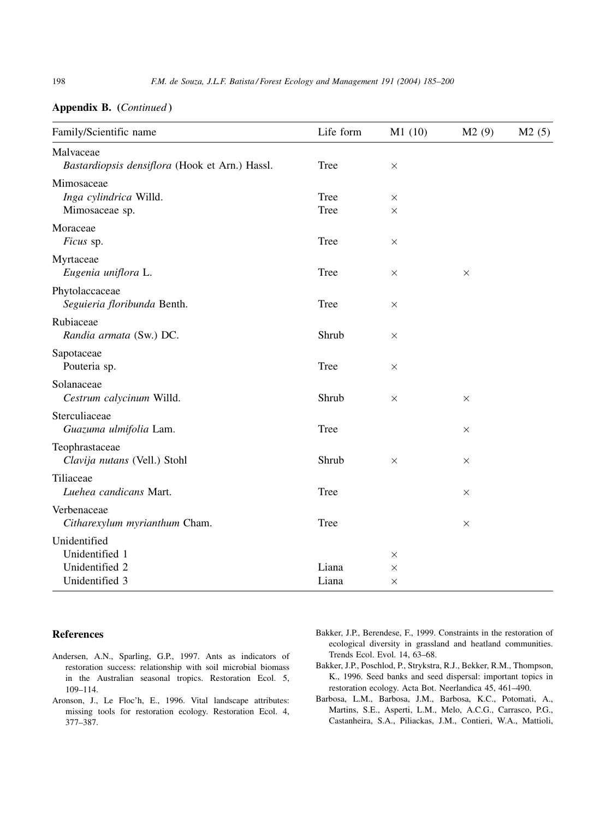# Appendix B. (Continued)

| Family/Scientific name                                             | Life form           | M1(10)                           | M2(9)    | M2(5) |
|--------------------------------------------------------------------|---------------------|----------------------------------|----------|-------|
| Malvaceae<br>Bastardiopsis densiflora (Hook et Arn.) Hassl.        | Tree                | $\times$                         |          |       |
| Mimosaceae<br>Inga cylindrica Willd.<br>Mimosaceae sp.             | Tree<br><b>Tree</b> | X<br>$\times$                    |          |       |
| Moraceae<br>Ficus sp.                                              | Tree                | $\times$                         |          |       |
| Myrtaceae<br>Eugenia uniflora L.                                   | Tree                | $\times$                         | $\times$ |       |
| Phytolaccaceae<br>Seguieria floribunda Benth.                      | Tree                | $\times$                         |          |       |
| Rubiaceae<br>Randia armata (Sw.) DC.                               | Shrub               | $\times$                         |          |       |
| Sapotaceae<br>Pouteria sp.                                         | Tree                | $\times$                         |          |       |
| Solanaceae<br>Cestrum calycinum Willd.                             | Shrub               | $\times$                         | $\times$ |       |
| Sterculiaceae<br>Guazuma ulmifolia Lam.                            | Tree                |                                  | X        |       |
| Teophrastaceae<br>Clavija nutans (Vell.) Stohl                     | Shrub               | $\times$                         | $\times$ |       |
| Tiliaceae<br>Luehea candicans Mart.                                | Tree                |                                  | $\times$ |       |
| Verbenaceae<br>Citharexylum myrianthum Cham.                       | Tree                |                                  | $\times$ |       |
| Unidentified<br>Unidentified 1<br>Unidentified 2<br>Unidentified 3 | Liana<br>Liana      | $\times$<br>$\times$<br>$\times$ |          |       |

# References

- Andersen, A.N., Sparling, G.P., 1997. Ants as indicators of restoration success: relationship with soil microbial biomass in the Australian seasonal tropics. Restoration Ecol. 5, 109–114.
- Aronson, J., Le Floc'h, E., 1996. Vital landscape attributes: missing tools for restoration ecology. Restoration Ecol. 4, 377–387.
- Bakker, J.P., Berendese, F., 1999. Constraints in the restoration of ecological diversity in grassland and heatland communities. Trends Ecol. Evol. 14, 63–68.
- Bakker, J.P., Poschlod, P., Strykstra, R.J., Bekker, R.M., Thompson, K., 1996. Seed banks and seed dispersal: important topics in restoration ecology. Acta Bot. Neerlandica 45, 461–490.
- Barbosa, L.M., Barbosa, J.M., Barbosa, K.C., Potomati, A., Martins, S.E., Asperti, L.M., Melo, A.C.G., Carrasco, P.G., Castanheira, S.A., Piliackas, J.M., Contieri, W.A., Mattioli,

<span id="page-13-0"></span>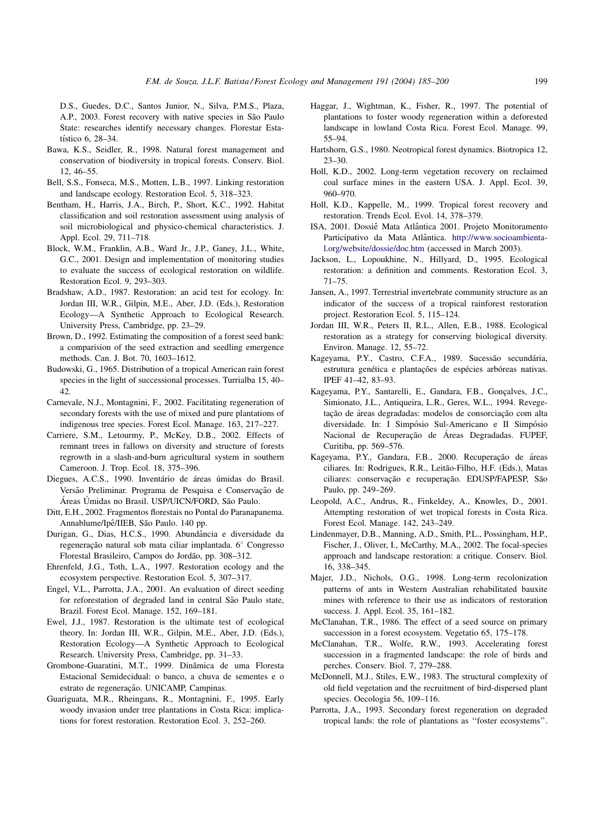<span id="page-14-0"></span>D.S., Guedes, D.C., Santos Junior, N., Silva, P.M.S., Plaza, A.P., 2003. Forest recovery with native species in São Paulo State: researches identify necessary changes. Florestar Estatístico 6, 28-34.

- Bawa, K.S., Seidler, R., 1998. Natural forest management and conservation of biodiversity in tropical forests. Conserv. Biol. 12, 46–55.
- Bell, S.S., Fonseca, M.S., Motten, L.B., 1997. Linking restoration and landscape ecology. Restoration Ecol. 5, 318–323.
- Bentham, H., Harris, J.A., Birch, P., Short, K.C., 1992. Habitat classification and soil restoration assessment using analysis of soil microbiological and physico-chemical characteristics. J. Appl. Ecol. 29, 711–718.
- Block, W.M., Franklin, A.B., Ward Jr., J.P., Ganey, J.L., White, G.C., 2001. Design and implementation of monitoring studies to evaluate the success of ecological restoration on wildlife. Restoration Ecol. 9, 293–303.
- Bradshaw, A.D., 1987. Restoration: an acid test for ecology. In: Jordan III, W.R., Gilpin, M.E., Aber, J.D. (Eds.), Restoration Ecology—A Synthetic Approach to Ecological Research. University Press, Cambridge, pp. 23–29.
- Brown, D., 1992. Estimating the composition of a forest seed bank: a comparision of the seed extraction and seedling emergence methods. Can. J. Bot. 70, 1603–1612.
- Budowski, G., 1965. Distribution of a tropical American rain forest species in the light of successional processes. Turrialba 15, 40– 42.
- Carnevale, N.J., Montagnini, F., 2002. Facilitating regeneration of secondary forests with the use of mixed and pure plantations of indigenous tree species. Forest Ecol. Manage. 163, 217–227.
- Carriere, S.M., Letourmy, P., McKey, D.B., 2002. Effects of remnant trees in fallows on diversity and structure of forests regrowth in a slash-and-burn agricultural system in southern Cameroon. J. Trop. Ecol. 18, 375–396.
- Diegues, A.C.S., 1990. Inventário de áreas úmidas do Brasil. Versão Preliminar. Programa de Pesquisa e Conservação de Áreas Úmidas no Brasil. USP/UICN/FORD, São Paulo.
- Ditt, E.H., 2002. Fragmentos florestais no Pontal do Paranapanema. Annablume/Ipê/IIEB, São Paulo. 140 pp.
- Durigan, G., Dias, H.C.S., 1990. Abundância e diversidade da regeneração natural sob mata ciliar implantada. 6° Congresso Florestal Brasileiro, Campos do Jordão, pp. 308-312.
- Ehrenfeld, J.G., Toth, L.A., 1997. Restoration ecology and the ecosystem perspective. Restoration Ecol. 5, 307–317.
- Engel, V.L., Parrotta, J.A., 2001. An evaluation of direct seeding for reforestation of degraded land in central São Paulo state, Brazil. Forest Ecol. Manage. 152, 169–181.
- Ewel, J.J., 1987. Restoration is the ultimate test of ecological theory. In: Jordan III, W.R., Gilpin, M.E., Aber, J.D. (Eds.), Restoration Ecology—A Synthetic Approach to Ecological Research. University Press, Cambridge, pp. 31–33.
- Grombone-Guaratini, M.T., 1999. Dinâmica de uma Floresta Estacional Semidecidual: o banco, a chuva de sementes e o estrato de regeneração. UNICAMP, Campinas.
- Guariguata, M.R., Rheingans, R., Montagnini, F., 1995. Early woody invasion under tree plantations in Costa Rica: implications for forest restoration. Restoration Ecol. 3, 252–260.
- Haggar, J., Wightman, K., Fisher, R., 1997. The potential of plantations to foster woody regeneration within a deforested landscape in lowland Costa Rica. Forest Ecol. Manage. 99, 55–94.
- Hartshorn, G.S., 1980. Neotropical forest dynamics. Biotropica 12, 23–30.
- Holl, K.D., 2002. Long-term vegetation recovery on reclaimed coal surface mines in the eastern USA. J. Appl. Ecol. 39, 960–970.
- Holl, K.D., Kappelle, M., 1999. Tropical forest recovery and restoration. Trends Ecol. Evol. 14, 378–379.
- ISA, 2001. Dossiê Mata Atlântica 2001. Projeto Monitoramento Participativo da Mata Atlântica. [http://www.socioambienta](HTTP://WWW.SOCIOAMBIENTAL.ORG/WEBSITE/DOSSIE/DOC.HTM)[l.org/website/dossie/doc.htm](HTTP://WWW.SOCIOAMBIENTAL.ORG/WEBSITE/DOSSIE/DOC.HTM) (accessed in March 2003).
- Jackson, L., Lopoukhine, N., Hillyard, D., 1995. Ecological restoration: a definition and comments. Restoration Ecol. 3, 71–75.
- Jansen, A., 1997. Terrestrial invertebrate community structure as an indicator of the success of a tropical rainforest restoration project. Restoration Ecol. 5, 115–124.
- Jordan III, W.R., Peters II, R.L., Allen, E.B., 1988. Ecological restoration as a strategy for conserving biological diversity. Environ. Manage. 12, 55–72.
- Kageyama, P.Y., Castro, C.F.A., 1989. Sucessão secundária, estrutura genética e plantações de espécies arbóreas nativas. IPEF 41–42, 83–93.
- Kageyama, P.Y., Santarelli, E., Gandara, F.B., Gonçalves, J.C., Simionato, J.L., Antiqueira, L.R., Geres, W.L., 1994. Revegetação de áreas degradadas: modelos de consorciação com alta diversidade. In: I Simpósio Sul-Americano e II Simpósio Nacional de Recuperação de Áreas Degradadas. FUPEF, Curitiba, pp. 569–576.
- Kageyama, P.Y., Gandara, F.B., 2000. Recuperação de áreas ciliares. In: Rodrigues, R.R., Leita˜o-Filho, H.F. (Eds.), Matas ciliares: conservação e recuperação. EDUSP/FAPESP, São Paulo, pp. 249–269.
- Leopold, A.C., Andrus, R., Finkeldey, A., Knowles, D., 2001. Attempting restoration of wet tropical forests in Costa Rica. Forest Ecol. Manage. 142, 243–249.
- Lindenmayer, D.B., Manning, A.D., Smith, P.L., Possingham, H.P., Fischer, J., Oliver, I., McCarthy, M.A., 2002. The focal-species approach and landscape restoration: a critique. Conserv. Biol. 16, 338–345.
- Majer, J.D., Nichols, O.G., 1998. Long-term recolonization patterns of ants in Western Australian rehabilitated bauxite mines with reference to their use as indicators of restoration success. J. Appl. Ecol. 35, 161–182.
- McClanahan, T.R., 1986. The effect of a seed source on primary succession in a forest ecosystem. Vegetatio 65, 175–178.
- McClanahan, T.R., Wolfe, R.W., 1993. Accelerating forest succession in a fragmented landscape: the role of birds and perches. Conserv. Biol. 7, 279–288.
- McDonnell, M.J., Stiles, E.W., 1983. The structural complexity of old field vegetation and the recruitment of bird-dispersed plant species. Oecologia 56, 109-116.
- Parrotta, J.A., 1993. Secondary forest regeneration on degraded tropical lands: the role of plantations as ''foster ecosystems''.